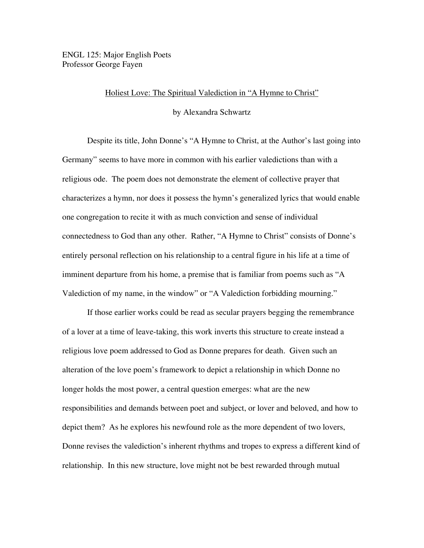ENGL 125: Major English Poets Professor George Fayen

## Holiest Love: The Spiritual Valediction in "A Hymne to Christ"

## by Alexandra Schwartz

 Despite its title, John Donne's "A Hymne to Christ, at the Author's last going into Germany" seems to have more in common with his earlier valedictions than with a religious ode. The poem does not demonstrate the element of collective prayer that characterizes a hymn, nor does it possess the hymn's generalized lyrics that would enable one congregation to recite it with as much conviction and sense of individual connectedness to God than any other. Rather, "A Hymne to Christ" consists of Donne's entirely personal reflection on his relationship to a central figure in his life at a time of imminent departure from his home, a premise that is familiar from poems such as "A Valediction of my name, in the window" or "A Valediction forbidding mourning."

If those earlier works could be read as secular prayers begging the remembrance of a lover at a time of leave-taking, this work inverts this structure to create instead a religious love poem addressed to God as Donne prepares for death. Given such an alteration of the love poem's framework to depict a relationship in which Donne no longer holds the most power, a central question emerges: what are the new responsibilities and demands between poet and subject, or lover and beloved, and how to depict them? As he explores his newfound role as the more dependent of two lovers, Donne revises the valediction's inherent rhythms and tropes to express a different kind of relationship. In this new structure, love might not be best rewarded through mutual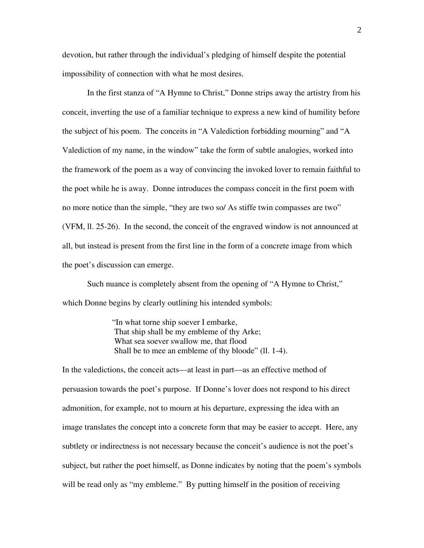devotion, but rather through the individual's pledging of himself despite the potential impossibility of connection with what he most desires.

In the first stanza of "A Hymne to Christ," Donne strips away the artistry from his conceit, inverting the use of a familiar technique to express a new kind of humility before the subject of his poem. The conceits in "A Valediction forbidding mourning" and "A Valediction of my name, in the window" take the form of subtle analogies, worked into the framework of the poem as a way of convincing the invoked lover to remain faithful to the poet while he is away. Donne introduces the compass conceit in the first poem with no more notice than the simple, "they are two so/ As stiffe twin compasses are two" (VFM, ll. 25-26). In the second, the conceit of the engraved window is not announced at all, but instead is present from the first line in the form of a concrete image from which the poet's discussion can emerge.

Such nuance is completely absent from the opening of "A Hymne to Christ," which Donne begins by clearly outlining his intended symbols:

> "In what torne ship soever I embarke, That ship shall be my embleme of thy Arke; What sea soever swallow me, that flood Shall be to mee an embleme of thy bloode" (ll. 1-4).

In the valedictions, the conceit acts—at least in part—as an effective method of persuasion towards the poet's purpose. If Donne's lover does not respond to his direct admonition, for example, not to mourn at his departure, expressing the idea with an image translates the concept into a concrete form that may be easier to accept. Here, any subtlety or indirectness is not necessary because the conceit's audience is not the poet's subject, but rather the poet himself, as Donne indicates by noting that the poem's symbols will be read only as "my embleme." By putting himself in the position of receiving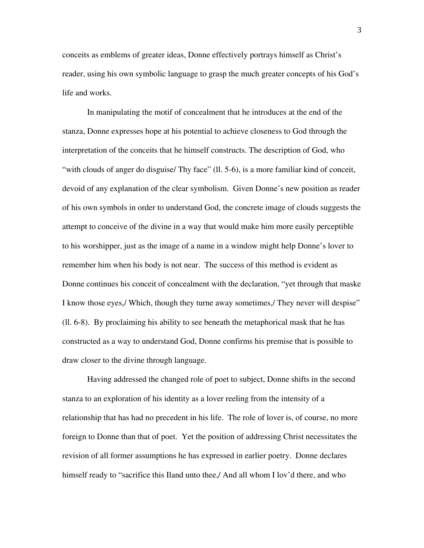conceits as emblems of greater ideas, Donne effectively portrays himself as Christ's reader, using his own symbolic language to grasp the much greater concepts of his God's life and works.

 In manipulating the motif of concealment that he introduces at the end of the stanza, Donne expresses hope at his potential to achieve closeness to God through the interpretation of the conceits that he himself constructs. The description of God, who "with clouds of anger do disguise/ Thy face" (ll. 5-6), is a more familiar kind of conceit, devoid of any explanation of the clear symbolism. Given Donne's new position as reader of his own symbols in order to understand God, the concrete image of clouds suggests the attempt to conceive of the divine in a way that would make him more easily perceptible to his worshipper, just as the image of a name in a window might help Donne's lover to remember him when his body is not near. The success of this method is evident as Donne continues his conceit of concealment with the declaration, "yet through that maske I know those eyes,/ Which, though they turne away sometimes,/ They never will despise" (ll. 6-8). By proclaiming his ability to see beneath the metaphorical mask that he has constructed as a way to understand God, Donne confirms his premise that is possible to draw closer to the divine through language.

Having addressed the changed role of poet to subject, Donne shifts in the second stanza to an exploration of his identity as a lover reeling from the intensity of a relationship that has had no precedent in his life. The role of lover is, of course, no more foreign to Donne than that of poet. Yet the position of addressing Christ necessitates the revision of all former assumptions he has expressed in earlier poetry. Donne declares himself ready to "sacrifice this Iland unto thee, And all whom I lov'd there, and who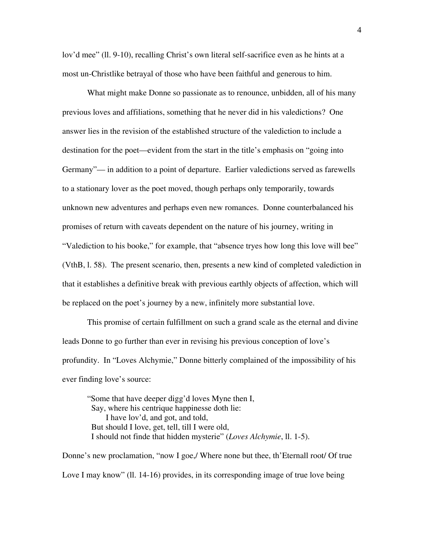lov'd mee" (ll. 9-10), recalling Christ's own literal self-sacrifice even as he hints at a most un-Christlike betrayal of those who have been faithful and generous to him.

What might make Donne so passionate as to renounce, unbidden, all of his many previous loves and affiliations, something that he never did in his valedictions? One answer lies in the revision of the established structure of the valediction to include a destination for the poet—evident from the start in the title's emphasis on "going into Germany"— in addition to a point of departure. Earlier valedictions served as farewells to a stationary lover as the poet moved, though perhaps only temporarily, towards unknown new adventures and perhaps even new romances. Donne counterbalanced his promises of return with caveats dependent on the nature of his journey, writing in "Valediction to his booke," for example, that "absence tryes how long this love will bee" (VthB, l. 58). The present scenario, then, presents a new kind of completed valediction in that it establishes a definitive break with previous earthly objects of affection, which will be replaced on the poet's journey by a new, infinitely more substantial love.

This promise of certain fulfillment on such a grand scale as the eternal and divine leads Donne to go further than ever in revising his previous conception of love's profundity. In "Loves Alchymie," Donne bitterly complained of the impossibility of his ever finding love's source:

"Some that have deeper digg'd loves Myne then I, Say, where his centrique happinesse doth lie: I have lov'd, and got, and told, But should I love, get, tell, till I were old, I should not finde that hidden mysterie" (*Loves Alchymie*, ll. 1-5).

Donne's new proclamation, "now I goe,/ Where none but thee, th'Eternall root/ Of true Love I may know" (ll. 14-16) provides, in its corresponding image of true love being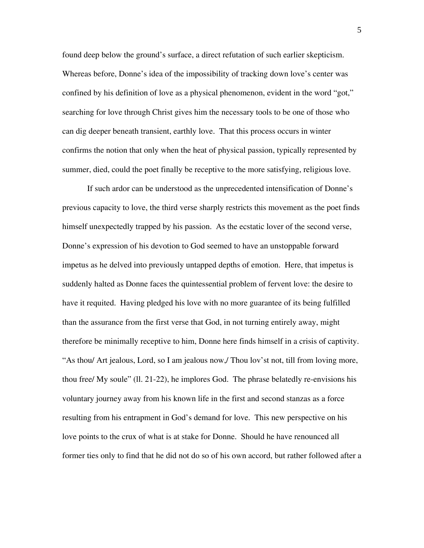found deep below the ground's surface, a direct refutation of such earlier skepticism. Whereas before, Donne's idea of the impossibility of tracking down love's center was confined by his definition of love as a physical phenomenon, evident in the word "got," searching for love through Christ gives him the necessary tools to be one of those who can dig deeper beneath transient, earthly love. That this process occurs in winter confirms the notion that only when the heat of physical passion, typically represented by summer, died, could the poet finally be receptive to the more satisfying, religious love.

If such ardor can be understood as the unprecedented intensification of Donne's previous capacity to love, the third verse sharply restricts this movement as the poet finds himself unexpectedly trapped by his passion. As the ecstatic lover of the second verse, Donne's expression of his devotion to God seemed to have an unstoppable forward impetus as he delved into previously untapped depths of emotion. Here, that impetus is suddenly halted as Donne faces the quintessential problem of fervent love: the desire to have it requited. Having pledged his love with no more guarantee of its being fulfilled than the assurance from the first verse that God, in not turning entirely away, might therefore be minimally receptive to him, Donne here finds himself in a crisis of captivity. "As thou/ Art jealous, Lord, so I am jealous now,/ Thou lov'st not, till from loving more, thou free/ My soule" (ll. 21-22), he implores God. The phrase belatedly re-envisions his voluntary journey away from his known life in the first and second stanzas as a force resulting from his entrapment in God's demand for love. This new perspective on his love points to the crux of what is at stake for Donne. Should he have renounced all former ties only to find that he did not do so of his own accord, but rather followed after a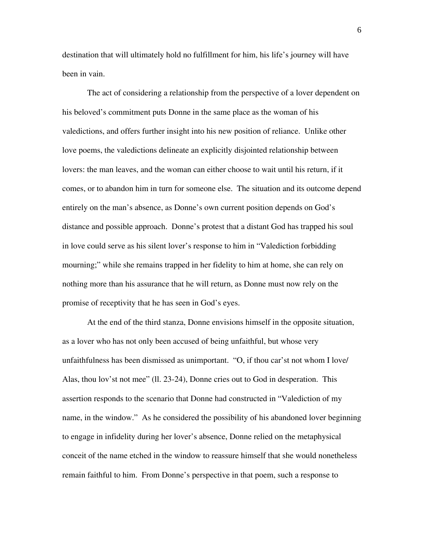destination that will ultimately hold no fulfillment for him, his life's journey will have been in vain.

The act of considering a relationship from the perspective of a lover dependent on his beloved's commitment puts Donne in the same place as the woman of his valedictions, and offers further insight into his new position of reliance. Unlike other love poems, the valedictions delineate an explicitly disjointed relationship between lovers: the man leaves, and the woman can either choose to wait until his return, if it comes, or to abandon him in turn for someone else. The situation and its outcome depend entirely on the man's absence, as Donne's own current position depends on God's distance and possible approach. Donne's protest that a distant God has trapped his soul in love could serve as his silent lover's response to him in "Valediction forbidding mourning;" while she remains trapped in her fidelity to him at home, she can rely on nothing more than his assurance that he will return, as Donne must now rely on the promise of receptivity that he has seen in God's eyes.

At the end of the third stanza, Donne envisions himself in the opposite situation, as a lover who has not only been accused of being unfaithful, but whose very unfaithfulness has been dismissed as unimportant. "O, if thou car'st not whom I love/ Alas, thou lov'st not mee" (ll. 23-24), Donne cries out to God in desperation. This assertion responds to the scenario that Donne had constructed in "Valediction of my name, in the window." As he considered the possibility of his abandoned lover beginning to engage in infidelity during her lover's absence, Donne relied on the metaphysical conceit of the name etched in the window to reassure himself that she would nonetheless remain faithful to him. From Donne's perspective in that poem, such a response to

6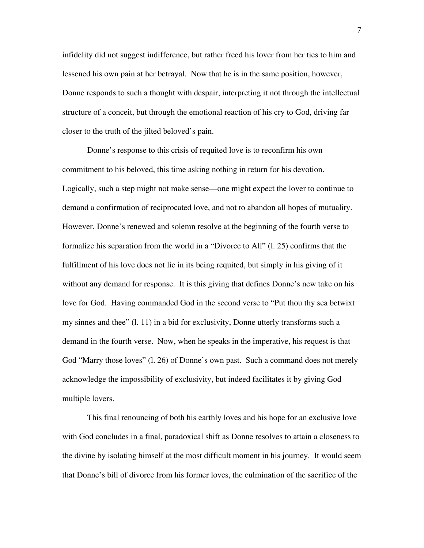infidelity did not suggest indifference, but rather freed his lover from her ties to him and lessened his own pain at her betrayal. Now that he is in the same position, however, Donne responds to such a thought with despair, interpreting it not through the intellectual structure of a conceit, but through the emotional reaction of his cry to God, driving far closer to the truth of the jilted beloved's pain.

Donne's response to this crisis of requited love is to reconfirm his own commitment to his beloved, this time asking nothing in return for his devotion. Logically, such a step might not make sense—one might expect the lover to continue to demand a confirmation of reciprocated love, and not to abandon all hopes of mutuality. However, Donne's renewed and solemn resolve at the beginning of the fourth verse to formalize his separation from the world in a "Divorce to All" (l. 25) confirms that the fulfillment of his love does not lie in its being requited, but simply in his giving of it without any demand for response. It is this giving that defines Donne's new take on his love for God. Having commanded God in the second verse to "Put thou thy sea betwixt my sinnes and thee" (l. 11) in a bid for exclusivity, Donne utterly transforms such a demand in the fourth verse. Now, when he speaks in the imperative, his request is that God "Marry those loves" (l. 26) of Donne's own past. Such a command does not merely acknowledge the impossibility of exclusivity, but indeed facilitates it by giving God multiple lovers.

This final renouncing of both his earthly loves and his hope for an exclusive love with God concludes in a final, paradoxical shift as Donne resolves to attain a closeness to the divine by isolating himself at the most difficult moment in his journey. It would seem that Donne's bill of divorce from his former loves, the culmination of the sacrifice of the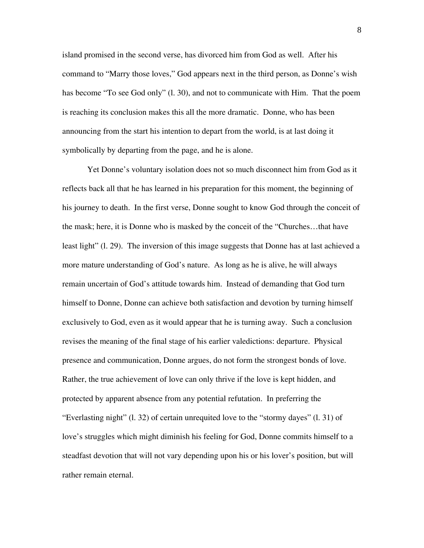island promised in the second verse, has divorced him from God as well. After his command to "Marry those loves," God appears next in the third person, as Donne's wish has become "To see God only" (1. 30), and not to communicate with Him. That the poem is reaching its conclusion makes this all the more dramatic. Donne, who has been announcing from the start his intention to depart from the world, is at last doing it symbolically by departing from the page, and he is alone.

Yet Donne's voluntary isolation does not so much disconnect him from God as it reflects back all that he has learned in his preparation for this moment, the beginning of his journey to death. In the first verse, Donne sought to know God through the conceit of the mask; here, it is Donne who is masked by the conceit of the "Churches…that have least light" (l. 29). The inversion of this image suggests that Donne has at last achieved a more mature understanding of God's nature. As long as he is alive, he will always remain uncertain of God's attitude towards him. Instead of demanding that God turn himself to Donne, Donne can achieve both satisfaction and devotion by turning himself exclusively to God, even as it would appear that he is turning away. Such a conclusion revises the meaning of the final stage of his earlier valedictions: departure. Physical presence and communication, Donne argues, do not form the strongest bonds of love. Rather, the true achievement of love can only thrive if the love is kept hidden, and protected by apparent absence from any potential refutation. In preferring the "Everlasting night" (l. 32) of certain unrequited love to the "stormy dayes" (l. 31) of love's struggles which might diminish his feeling for God, Donne commits himself to a steadfast devotion that will not vary depending upon his or his lover's position, but will rather remain eternal.